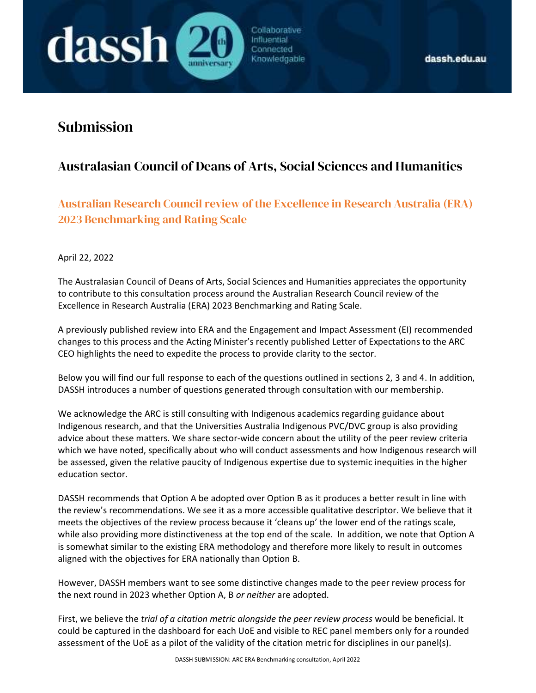# Submission

dassh (

# Australasian Council of Deans of Arts, Social Sciences and Humanities

Collaborative

Influential Connected Knowledgable

Australian Research Council review of the Excellence in Research Australia (ERA) 2023 Benchmarking and Rating Scale

April 22, 2022

The Australasian Council of Deans of Arts, Social Sciences and Humanities appreciates the opportunity to contribute to this consultation process around the Australian Research Council review of the Excellence in Research Australia (ERA) 2023 Benchmarking and Rating Scale.

A previously published review into ERA and the Engagement and Impact Assessment (EI) recommended changes to this process and the Acting Minister's recently published Letter of Expectations to the ARC CEO highlights the need to expedite the process to provide clarity to the sector.

Below you will find our full response to each of the questions outlined in sections 2, 3 and 4. In addition, DASSH introduces a number of questions generated through consultation with our membership.

We acknowledge the ARC is still consulting with Indigenous academics regarding guidance about Indigenous research, and that the Universities Australia Indigenous PVC/DVC group is also providing advice about these matters. We share sector-wide concern about the utility of the peer review criteria which we have noted, specifically about who will conduct assessments and how Indigenous research will be assessed, given the relative paucity of Indigenous expertise due to systemic inequities in the higher education sector.

DASSH recommends that Option A be adopted over Option B as it produces a better result in line with the review's recommendations. We see it as a more accessible qualitative descriptor. We believe that it meets the objectives of the review process because it 'cleans up' the lower end of the ratings scale, while also providing more distinctiveness at the top end of the scale. In addition, we note that Option A is somewhat similar to the existing ERA methodology and therefore more likely to result in outcomes aligned with the objectives for ERA nationally than Option B.

However, DASSH members want to see some distinctive changes made to the peer review process for the next round in 2023 whether Option A, B or neither are adopted.

First, we believe the trial of a citation metric alongside the peer review process would be beneficial. It could be captured in the dashboard for each UoE and visible to REC panel members only for a rounded assessment of the UoE as a pilot of the validity of the citation metric for disciplines in our panel(s).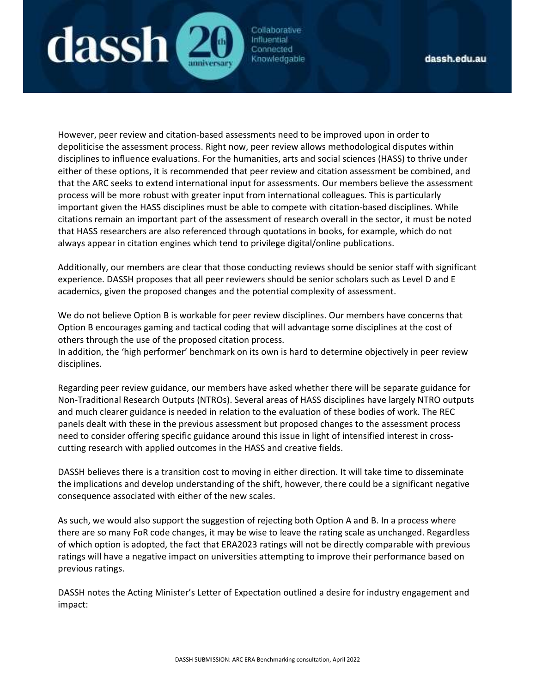

However, peer review and citation-based assessments need to be improved upon in order to depoliticise the assessment process. Right now, peer review allows methodological disputes within disciplines to influence evaluations. For the humanities, arts and social sciences (HASS) to thrive under either of these options, it is recommended that peer review and citation assessment be combined, and that the ARC seeks to extend international input for assessments. Our members believe the assessment process will be more robust with greater input from international colleagues. This is particularly important given the HASS disciplines must be able to compete with citation-based disciplines. While citations remain an important part of the assessment of research overall in the sector, it must be noted that HASS researchers are also referenced through quotations in books, for example, which do not always appear in citation engines which tend to privilege digital/online publications.

Additionally, our members are clear that those conducting reviews should be senior staff with significant experience. DASSH proposes that all peer reviewers should be senior scholars such as Level D and E academics, given the proposed changes and the potential complexity of assessment.

We do not believe Option B is workable for peer review disciplines. Our members have concerns that Option B encourages gaming and tactical coding that will advantage some disciplines at the cost of others through the use of the proposed citation process.

In addition, the 'high performer' benchmark on its own is hard to determine objectively in peer review disciplines.

Regarding peer review guidance, our members have asked whether there will be separate guidance for Non-Traditional Research Outputs (NTROs). Several areas of HASS disciplines have largely NTRO outputs and much clearer guidance is needed in relation to the evaluation of these bodies of work. The REC panels dealt with these in the previous assessment but proposed changes to the assessment process need to consider offering specific guidance around this issue in light of intensified interest in crosscutting research with applied outcomes in the HASS and creative fields.

DASSH believes there is a transition cost to moving in either direction. It will take time to disseminate the implications and develop understanding of the shift, however, there could be a significant negative consequence associated with either of the new scales.

As such, we would also support the suggestion of rejecting both Option A and B. In a process where there are so many FoR code changes, it may be wise to leave the rating scale as unchanged. Regardless of which option is adopted, the fact that ERA2023 ratings will not be directly comparable with previous ratings will have a negative impact on universities attempting to improve their performance based on previous ratings.

DASSH notes the Acting Minister's Letter of Expectation outlined a desire for industry engagement and impact: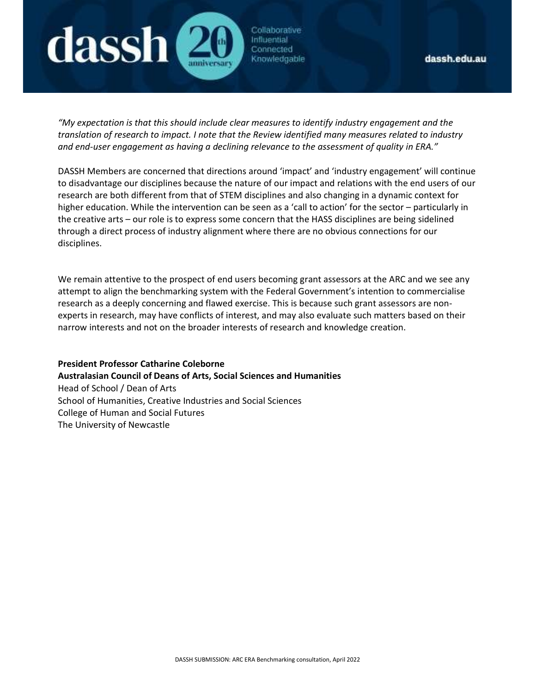

"My expectation is that this should include clear measures to identify industry engagement and the translation of research to impact. I note that the Review identified many measures related to industry and end-user engagement as having a declining relevance to the assessment of quality in ERA."

DASSH Members are concerned that directions around 'impact' and 'industry engagement' will continue to disadvantage our disciplines because the nature of our impact and relations with the end users of our research are both different from that of STEM disciplines and also changing in a dynamic context for higher education. While the intervention can be seen as a 'call to action' for the sector – particularly in the creative arts – our role is to express some concern that the HASS disciplines are being sidelined through a direct process of industry alignment where there are no obvious connections for our disciplines.

We remain attentive to the prospect of end users becoming grant assessors at the ARC and we see any attempt to align the benchmarking system with the Federal Government's intention to commercialise research as a deeply concerning and flawed exercise. This is because such grant assessors are nonexperts in research, may have conflicts of interest, and may also evaluate such matters based on their narrow interests and not on the broader interests of research and knowledge creation.

President Professor Catharine Coleborne Australasian Council of Deans of Arts, Social Sciences and Humanities Head of School / Dean of Arts School of Humanities, Creative Industries and Social Sciences College of Human and Social Futures

The University of Newcastle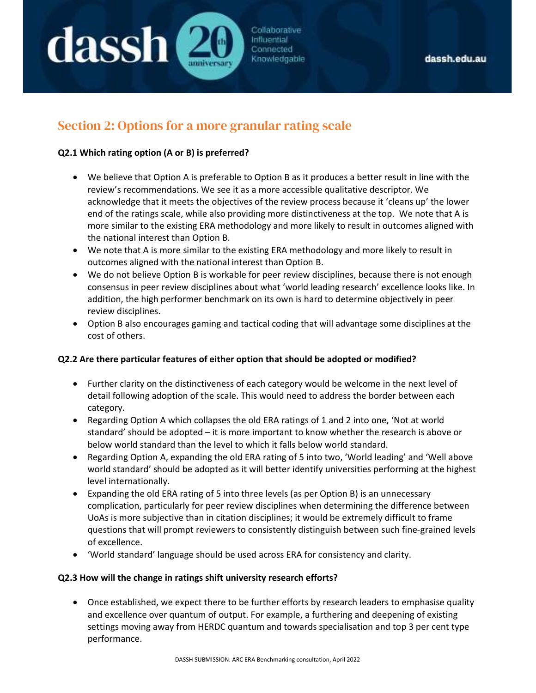# Section 2: Options for a more granular rating scale

#### Q2.1 Which rating option (A or B) is preferred?

dassh (

 We believe that Option A is preferable to Option B as it produces a better result in line with the review's recommendations. We see it as a more accessible qualitative descriptor. We acknowledge that it meets the objectives of the review process because it 'cleans up' the lower end of the ratings scale, while also providing more distinctiveness at the top. We note that A is more similar to the existing ERA methodology and more likely to result in outcomes aligned with the national interest than Option B.

Collaborative Influential Connected Knowledgable

- We note that A is more similar to the existing ERA methodology and more likely to result in outcomes aligned with the national interest than Option B.
- We do not believe Option B is workable for peer review disciplines, because there is not enough consensus in peer review disciplines about what 'world leading research' excellence looks like. In addition, the high performer benchmark on its own is hard to determine objectively in peer review disciplines.
- Option B also encourages gaming and tactical coding that will advantage some disciplines at the cost of others.

#### Q2.2 Are there particular features of either option that should be adopted or modified?

- Further clarity on the distinctiveness of each category would be welcome in the next level of detail following adoption of the scale. This would need to address the border between each category.
- Regarding Option A which collapses the old ERA ratings of 1 and 2 into one, 'Not at world standard' should be adopted – it is more important to know whether the research is above or below world standard than the level to which it falls below world standard.
- Regarding Option A, expanding the old ERA rating of 5 into two, 'World leading' and 'Well above world standard' should be adopted as it will better identify universities performing at the highest level internationally.
- Expanding the old ERA rating of 5 into three levels (as per Option B) is an unnecessary complication, particularly for peer review disciplines when determining the difference between UoAs is more subjective than in citation disciplines; it would be extremely difficult to frame questions that will prompt reviewers to consistently distinguish between such fine-grained levels of excellence.
- 'World standard' language should be used across ERA for consistency and clarity.

#### Q2.3 How will the change in ratings shift university research efforts?

 Once established, we expect there to be further efforts by research leaders to emphasise quality and excellence over quantum of output. For example, a furthering and deepening of existing settings moving away from HERDC quantum and towards specialisation and top 3 per cent type performance.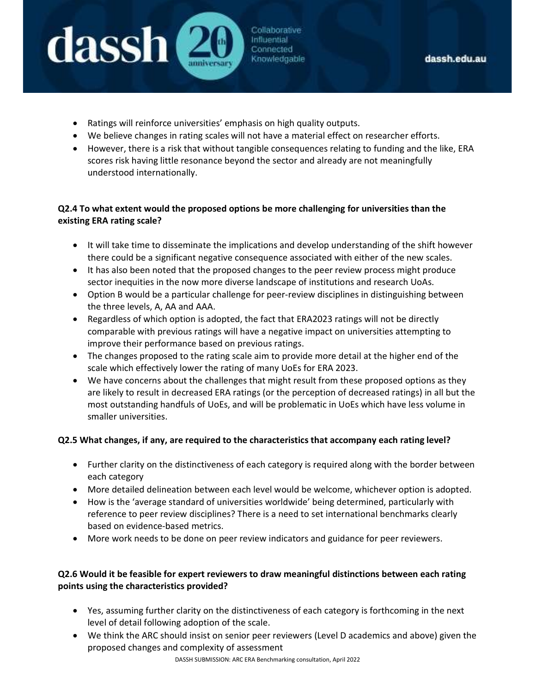Ratings will reinforce universities' emphasis on high quality outputs.

lassh (

- We believe changes in rating scales will not have a material effect on researcher efforts.
- However, there is a risk that without tangible consequences relating to funding and the like, ERA scores risk having little resonance beyond the sector and already are not meaningfully understood internationally.

Collaborative Influential Connected Knowledgable

# Q2.4 To what extent would the proposed options be more challenging for universities than the existing ERA rating scale?

- It will take time to disseminate the implications and develop understanding of the shift however there could be a significant negative consequence associated with either of the new scales.
- It has also been noted that the proposed changes to the peer review process might produce sector inequities in the now more diverse landscape of institutions and research UoAs.
- Option B would be a particular challenge for peer-review disciplines in distinguishing between the three levels, A, AA and AAA.
- Regardless of which option is adopted, the fact that ERA2023 ratings will not be directly comparable with previous ratings will have a negative impact on universities attempting to improve their performance based on previous ratings.
- The changes proposed to the rating scale aim to provide more detail at the higher end of the scale which effectively lower the rating of many UoEs for ERA 2023.
- We have concerns about the challenges that might result from these proposed options as they are likely to result in decreased ERA ratings (or the perception of decreased ratings) in all but the most outstanding handfuls of UoEs, and will be problematic in UoEs which have less volume in smaller universities.

# Q2.5 What changes, if any, are required to the characteristics that accompany each rating level?

- Further clarity on the distinctiveness of each category is required along with the border between each category
- More detailed delineation between each level would be welcome, whichever option is adopted.
- How is the 'average standard of universities worldwide' being determined, particularly with reference to peer review disciplines? There is a need to set international benchmarks clearly based on evidence-based metrics.
- More work needs to be done on peer review indicators and guidance for peer reviewers.

### Q2.6 Would it be feasible for expert reviewers to draw meaningful distinctions between each rating points using the characteristics provided?

- Yes, assuming further clarity on the distinctiveness of each category is forthcoming in the next level of detail following adoption of the scale.
- We think the ARC should insist on senior peer reviewers (Level D academics and above) given the proposed changes and complexity of assessment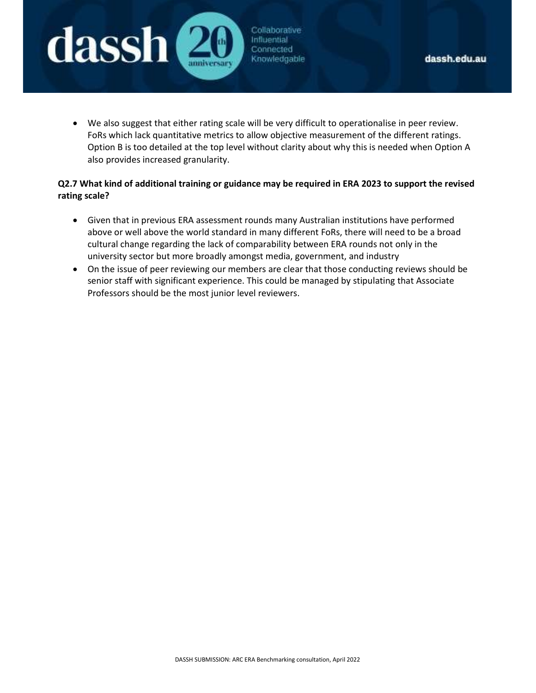

 We also suggest that either rating scale will be very difficult to operationalise in peer review. FoRs which lack quantitative metrics to allow objective measurement of the different ratings. Option B is too detailed at the top level without clarity about why this is needed when Option A

Collaborative

Influential Connected Knowledgable

also provides increased granularity.

**dassh** 

- Q2.7 What kind of additional training or guidance may be required in ERA 2023 to support the revised rating scale?
	- Given that in previous ERA assessment rounds many Australian institutions have performed above or well above the world standard in many different FoRs, there will need to be a broad cultural change regarding the lack of comparability between ERA rounds not only in the university sector but more broadly amongst media, government, and industry
	- On the issue of peer reviewing our members are clear that those conducting reviews should be senior staff with significant experience. This could be managed by stipulating that Associate Professors should be the most junior level reviewers.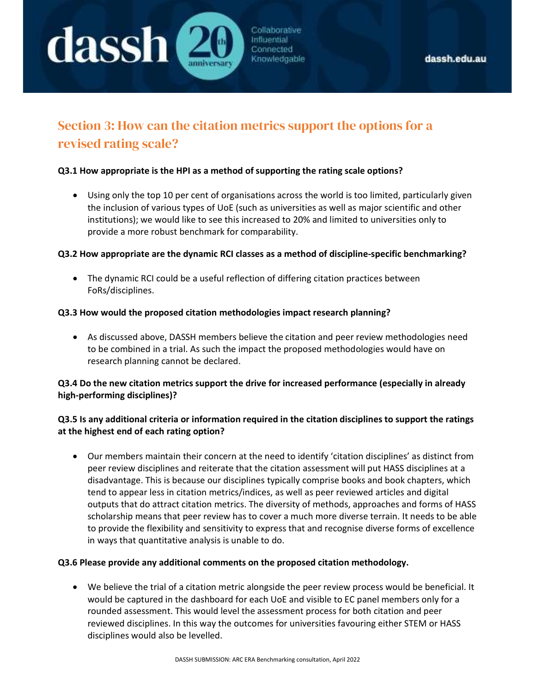

# Section 3: How can the citation metrics support the options for a revised rating scale?

#### Q3.1 How appropriate is the HPI as a method of supporting the rating scale options?

 Using only the top 10 per cent of organisations across the world is too limited, particularly given the inclusion of various types of UoE (such as universities as well as major scientific and other institutions); we would like to see this increased to 20% and limited to universities only to provide a more robust benchmark for comparability.

#### Q3.2 How appropriate are the dynamic RCI classes as a method of discipline-specific benchmarking?

 The dynamic RCI could be a useful reflection of differing citation practices between FoRs/disciplines.

#### Q3.3 How would the proposed citation methodologies impact research planning?

 As discussed above, DASSH members believe the citation and peer review methodologies need to be combined in a trial. As such the impact the proposed methodologies would have on research planning cannot be declared.

#### Q3.4 Do the new citation metrics support the drive for increased performance (especially in already high-performing disciplines)?

#### Q3.5 Is any additional criteria or information required in the citation disciplines to support the ratings at the highest end of each rating option?

 Our members maintain their concern at the need to identify 'citation disciplines' as distinct from peer review disciplines and reiterate that the citation assessment will put HASS disciplines at a disadvantage. This is because our disciplines typically comprise books and book chapters, which tend to appear less in citation metrics/indices, as well as peer reviewed articles and digital outputs that do attract citation metrics. The diversity of methods, approaches and forms of HASS scholarship means that peer review has to cover a much more diverse terrain. It needs to be able to provide the flexibility and sensitivity to express that and recognise diverse forms of excellence in ways that quantitative analysis is unable to do.

#### Q3.6 Please provide any additional comments on the proposed citation methodology.

 We believe the trial of a citation metric alongside the peer review process would be beneficial. It would be captured in the dashboard for each UoE and visible to EC panel members only for a rounded assessment. This would level the assessment process for both citation and peer reviewed disciplines. In this way the outcomes for universities favouring either STEM or HASS disciplines would also be levelled.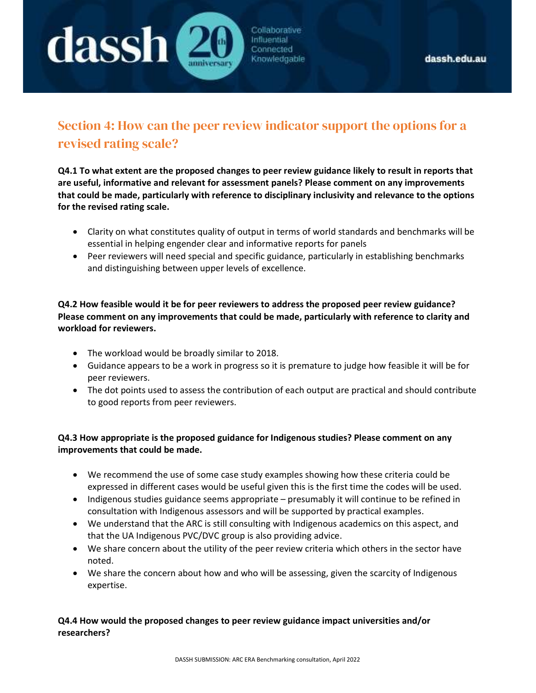

# Section 4: How can the peer review indicator support the options for a revised rating scale?

Q4.1 To what extent are the proposed changes to peer review guidance likely to result in reports that are useful, informative and relevant for assessment panels? Please comment on any improvements that could be made, particularly with reference to disciplinary inclusivity and relevance to the options for the revised rating scale.

- Clarity on what constitutes quality of output in terms of world standards and benchmarks will be essential in helping engender clear and informative reports for panels
- Peer reviewers will need special and specific guidance, particularly in establishing benchmarks and distinguishing between upper levels of excellence.

### Q4.2 How feasible would it be for peer reviewers to address the proposed peer review guidance? Please comment on any improvements that could be made, particularly with reference to clarity and workload for reviewers.

- The workload would be broadly similar to 2018.
- Guidance appears to be a work in progress so it is premature to judge how feasible it will be for peer reviewers.
- The dot points used to assess the contribution of each output are practical and should contribute to good reports from peer reviewers.

# Q4.3 How appropriate is the proposed guidance for Indigenous studies? Please comment on any improvements that could be made.

- We recommend the use of some case study examples showing how these criteria could be expressed in different cases would be useful given this is the first time the codes will be used.
- Indigenous studies guidance seems appropriate presumably it will continue to be refined in consultation with Indigenous assessors and will be supported by practical examples.
- We understand that the ARC is still consulting with Indigenous academics on this aspect, and that the UA Indigenous PVC/DVC group is also providing advice.
- We share concern about the utility of the peer review criteria which others in the sector have noted.
- We share the concern about how and who will be assessing, given the scarcity of Indigenous expertise.

### Q4.4 How would the proposed changes to peer review guidance impact universities and/or researchers?